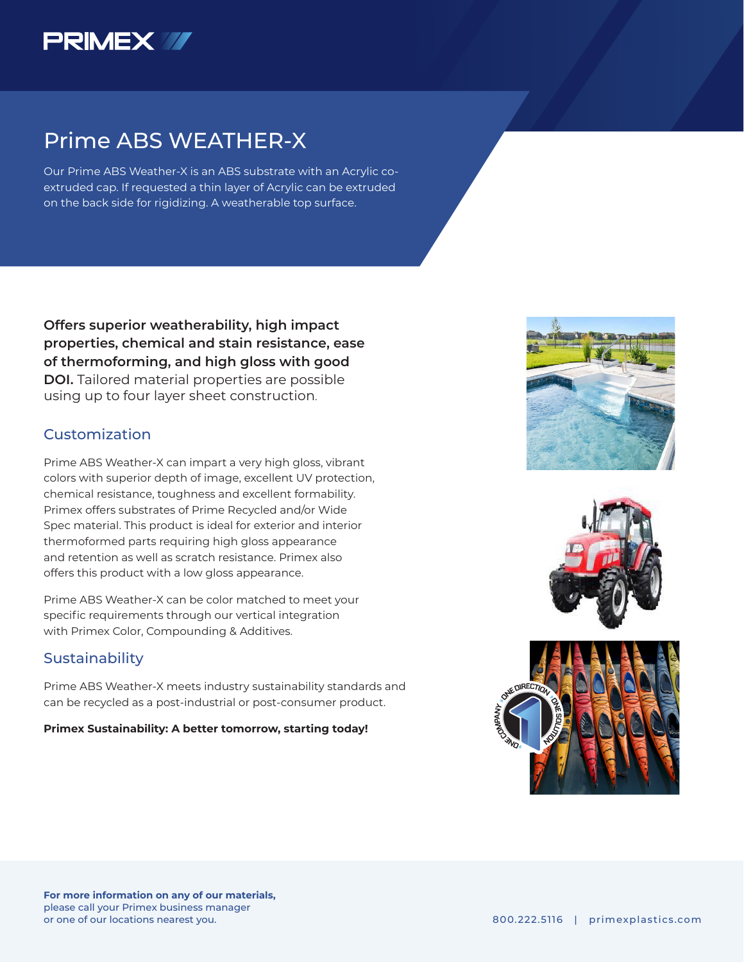

## Prime ABS WEATHER-X

Our Prime ABS Weather-X is an ABS substrate with an Acrylic coextruded cap. If requested a thin layer of Acrylic can be extruded on the back side for rigidizing. A weatherable top surface.

**Offers superior weatherability, high impact properties, chemical and stain resistance, ease of thermoforming, and high gloss with good DOI.** Tailored material properties are possible using up to four layer sheet construction.

### Customization

Prime ABS Weather-X can impart a very high gloss, vibrant colors with superior depth of image, excellent UV protection, chemical resistance, toughness and excellent formability. Primex offers substrates of Prime Recycled and/or Wide Spec material. This product is ideal for exterior and interior thermoformed parts requiring high gloss appearance and retention as well as scratch resistance. Primex also offers this product with a low gloss appearance.

Prime ABS Weather-X can be color matched to meet your specific requirements through our vertical integration with Primex Color, Compounding & Additives.

### **Sustainability**

Prime ABS Weather-X meets industry sustainability standards and can be recycled as a post-industrial or post-consumer product.

#### **Primex Sustainability: A better tomorrow, starting today!**